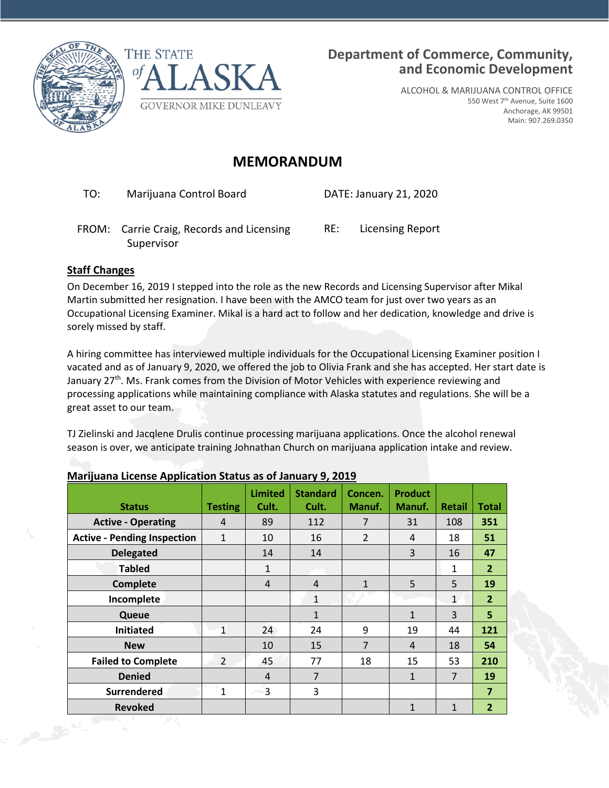



ALCOHOL & MARIJUANA CONTROL OFFICE 550 West 7th Avenue, Suite 1600 Anchorage, AK 99501 Main: 907.269.0350

## **MEMORANDUM**

TO: Marijuana Control Board DATE: January 21, 2020

FROM: Carrie Craig, Records and Licensing RE: Licensing Report Supervisor

## **Staff Changes**

On December 16, 2019 I stepped into the role as the new Records and Licensing Supervisor after Mikal Martin submitted her resignation. I have been with the AMCO team for just over two years as an Occupational Licensing Examiner. Mikal is a hard act to follow and her dedication, knowledge and drive is sorely missed by staff.

A hiring committee has interviewed multiple individuals for the Occupational Licensing Examiner position I vacated and as of January 9, 2020, we offered the job to Olivia Frank and she has accepted. Her start date is January 27<sup>th</sup>. Ms. Frank comes from the Division of Motor Vehicles with experience reviewing and processing applications while maintaining compliance with Alaska statutes and regulations. She will be a great asset to our team.

TJ Zielinski and Jacqlene Drulis continue processing marijuana applications. Once the alcohol renewal season is over, we anticipate training Johnathan Church on marijuana application intake and review.

|            | <b>Status</b>                      | <b>Testing</b> | <b>Limited</b><br>Cult. | <b>Standard</b><br>Cult. | Concen.<br>Manuf. | <b>Product</b><br>Manuf. | <b>Retail</b> | <b>Total</b>   |
|------------|------------------------------------|----------------|-------------------------|--------------------------|-------------------|--------------------------|---------------|----------------|
|            | <b>Active - Operating</b>          | 4              | 89                      | 112                      | $\overline{7}$    | 31                       | 108           | 351            |
|            | <b>Active - Pending Inspection</b> | $\mathbf{1}$   | 10                      | 16                       | $\overline{2}$    | 4                        | 18            | 51             |
|            | <b>Delegated</b>                   |                | 14                      | 14                       |                   | 3                        | 16            | 47             |
|            | <b>Tabled</b>                      |                | 1                       |                          |                   |                          | 1             | $\overline{2}$ |
|            | <b>Complete</b>                    |                | $\overline{4}$          | 4                        | $\mathbf{1}$      | 5                        | 5             | 19             |
|            | Incomplete                         |                |                         | $\mathbf{1}$             |                   |                          | $\mathbf{1}$  | $\overline{2}$ |
|            | Queue                              |                |                         | $\mathbf{1}$             |                   | $\mathbf{1}$             | 3             | 5              |
|            | <b>Initiated</b>                   | $\mathbf{1}$   | 24                      | 24                       | 9                 | 19                       | 44            | 121            |
|            | <b>New</b>                         |                | 10                      | 15                       | 7                 | 4                        | 18            | 54             |
|            | <b>Failed to Complete</b>          | $\overline{2}$ | 45                      | 77                       | 18                | 15                       | 53            | 210            |
|            | <b>Denied</b>                      |                | 4                       | $\overline{7}$           |                   | $\mathbf{1}$             | 7             | 19             |
|            | <b>Surrendered</b>                 | 1              | 3                       | 3                        |                   |                          |               | $\overline{7}$ |
|            | <b>Revoked</b>                     |                |                         |                          |                   | 1                        | $\mathbf{1}$  | 2 <sup>2</sup> |
| Public Co. |                                    |                |                         |                          |                   |                          |               |                |

## **Marijuana License Application Status as of January 9, 2019**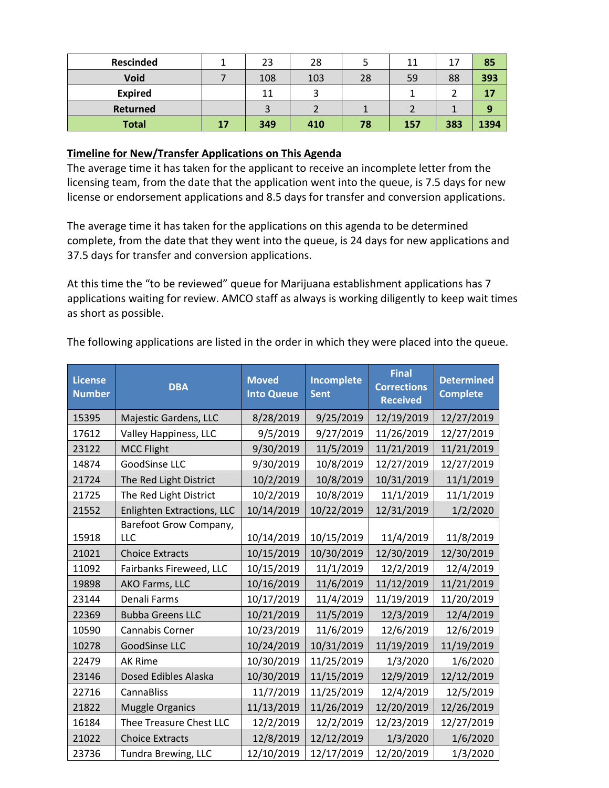| <b>Rescinded</b> |    | 23  | 28  |    | 11  | 17  | 85   |
|------------------|----|-----|-----|----|-----|-----|------|
| Void             |    | 108 | 103 | 28 | 59  | 88  | 393  |
| <b>Expired</b>   |    | 11  |     |    |     |     |      |
| Returned         |    |     |     |    |     |     |      |
| <b>Total</b>     | 17 | 349 | 410 | 78 | 157 | 383 | 1394 |

## **Timeline for New/Transfer Applications on This Agenda**

The average time it has taken for the applicant to receive an incomplete letter from the licensing team, from the date that the application went into the queue, is 7.5 days for new license or endorsement applications and 8.5 days for transfer and conversion applications.

The average time it has taken for the applications on this agenda to be determined complete, from the date that they went into the queue, is 24 days for new applications and 37.5 days for transfer and conversion applications.

At this time the "to be reviewed" queue for Marijuana establishment applications has 7 applications waiting for review. AMCO staff as always is working diligently to keep wait times as short as possible.

| <b>License</b><br><b>Number</b> | <b>DBA</b>                        | <b>Moved</b><br><b>Into Queue</b> | <b>Incomplete</b><br><b>Sent</b> | <b>Final</b><br><b>Corrections</b><br><b>Received</b> | <b>Determined</b><br><b>Complete</b> |
|---------------------------------|-----------------------------------|-----------------------------------|----------------------------------|-------------------------------------------------------|--------------------------------------|
| 15395                           | Majestic Gardens, LLC             | 8/28/2019                         | 9/25/2019                        | 12/19/2019                                            | 12/27/2019                           |
| 17612                           | Valley Happiness, LLC             | 9/5/2019                          | 9/27/2019                        | 11/26/2019                                            | 12/27/2019                           |
| 23122                           | <b>MCC Flight</b>                 | 9/30/2019                         | 11/5/2019                        | 11/21/2019                                            | 11/21/2019                           |
| 14874                           | GoodSinse LLC                     | 9/30/2019                         | 10/8/2019                        | 12/27/2019                                            | 12/27/2019                           |
| 21724                           | The Red Light District            | 10/2/2019                         | 10/8/2019                        | 10/31/2019                                            | 11/1/2019                            |
| 21725                           | The Red Light District            | 10/2/2019                         | 10/8/2019                        | 11/1/2019                                             | 11/1/2019                            |
| 21552                           | <b>Enlighten Extractions, LLC</b> | 10/14/2019                        | 10/22/2019                       | 12/31/2019                                            | 1/2/2020                             |
|                                 | Barefoot Grow Company,            |                                   |                                  |                                                       |                                      |
| 15918                           | LLC                               | 10/14/2019                        | 10/15/2019                       | 11/4/2019                                             | 11/8/2019                            |
| 21021                           | <b>Choice Extracts</b>            | 10/15/2019                        | 10/30/2019                       | 12/30/2019                                            | 12/30/2019                           |
| 11092                           | Fairbanks Fireweed, LLC           | 10/15/2019                        | 11/1/2019                        | 12/2/2019                                             | 12/4/2019                            |
| 19898                           | AKO Farms, LLC                    | 10/16/2019                        | 11/6/2019                        | 11/12/2019                                            | 11/21/2019                           |
| 23144                           | Denali Farms                      | 10/17/2019                        | 11/4/2019                        | 11/19/2019                                            | 11/20/2019                           |
| 22369                           | <b>Bubba Greens LLC</b>           | 10/21/2019                        | 11/5/2019                        | 12/3/2019                                             | 12/4/2019                            |
| 10590                           | Cannabis Corner                   | 10/23/2019                        | 11/6/2019                        | 12/6/2019                                             | 12/6/2019                            |
| 10278                           | GoodSinse LLC                     | 10/24/2019                        | 10/31/2019                       | 11/19/2019                                            | 11/19/2019                           |
| 22479                           | <b>AK Rime</b>                    | 10/30/2019                        | 11/25/2019                       | 1/3/2020                                              | 1/6/2020                             |
| 23146                           | Dosed Edibles Alaska              | 10/30/2019                        | 11/15/2019                       | 12/9/2019                                             | 12/12/2019                           |
| 22716                           | <b>CannaBliss</b>                 | 11/7/2019                         | 11/25/2019                       | 12/4/2019                                             | 12/5/2019                            |
| 21822                           | <b>Muggle Organics</b>            | 11/13/2019                        | 11/26/2019                       | 12/20/2019                                            | 12/26/2019                           |
| 16184                           | Thee Treasure Chest LLC           | 12/2/2019                         | 12/2/2019                        | 12/23/2019                                            | 12/27/2019                           |
| 21022                           | <b>Choice Extracts</b>            | 12/8/2019                         | 12/12/2019                       | 1/3/2020                                              | 1/6/2020                             |
| 23736                           | Tundra Brewing, LLC               | 12/10/2019                        | 12/17/2019                       | 12/20/2019                                            | 1/3/2020                             |

The following applications are listed in the order in which they were placed into the queue.